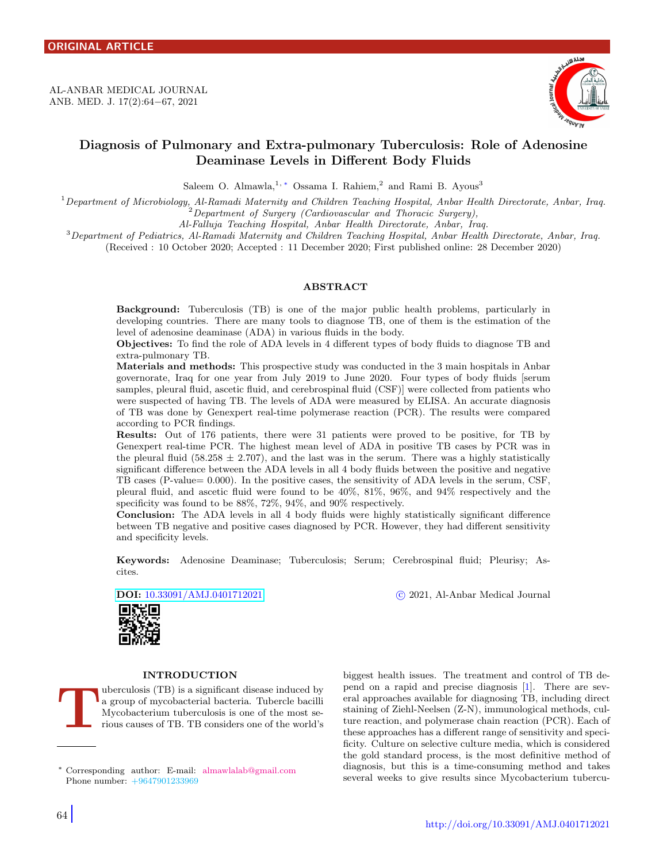<span id="page-0-1"></span>AL-ANBAR MEDICAL JOURNAL ANB. MED. J. 17(2):64−67, 2021



# Diagnosis of Pulmonary and Extra-pulmonary Tuberculosis: Role of Adenosine Deaminase Levels in Different Body Fluids

Saleem O. Almawla,<sup>1,\*</sup> Ossama I. Rahiem,<sup>2</sup> and Rami B. Ayous<sup>3</sup>

 $1$ Department of Microbiology, Al-Ramadi Maternity and Children Teaching Hospital, Anbar Health Directorate, Anbar, Iraq.  ${}^{2}$ Department of Surgery (Cardiovascular and Thoracic Surgery),

Al-Falluja Teaching Hospital, Anbar Health Directorate, Anbar, Iraq.

 $3$ Department of Pediatrics, Al-Ramadi Maternity and Children Teaching Hospital, Anbar Health Directorate, Anbar, Iraq.

(Received : 10 October 2020; Accepted : 11 December 2020; First published online: 28 December 2020)

## ABSTRACT

Background: Tuberculosis (TB) is one of the major public health problems, particularly in developing countries. There are many tools to diagnose TB, one of them is the estimation of the level of adenosine deaminase (ADA) in various fluids in the body.

Objectives: To find the role of ADA levels in 4 different types of body fluids to diagnose TB and extra-pulmonary TB.

Materials and methods: This prospective study was conducted in the 3 main hospitals in Anbar governorate, Iraq for one year from July 2019 to June 2020. Four types of body fluids [serum samples, pleural fluid, ascetic fluid, and cerebrospinal fluid (CSF)] were collected from patients who were suspected of having TB. The levels of ADA were measured by ELISA. An accurate diagnosis of TB was done by Genexpert real-time polymerase reaction (PCR). The results were compared according to PCR findings.

Results: Out of 176 patients, there were 31 patients were proved to be positive, for TB by Genexpert real-time PCR. The highest mean level of ADA in positive TB cases by PCR was in the pleural fluid (58.258  $\pm$  2.707), and the last was in the serum. There was a highly statistically significant difference between the ADA levels in all 4 body fluids between the positive and negative TB cases (P-value= 0.000). In the positive cases, the sensitivity of ADA levels in the serum, CSF, pleural fluid, and ascetic fluid were found to be 40%, 81%, 96%, and 94% respectively and the specificity was found to be 88%, 72%, 94%, and 90% respectively.

Conclusion: The ADA levels in all 4 body fluids were highly statistically significant difference between TB negative and positive cases diagnosed by PCR. However, they had different sensitivity and specificity levels.

Keywords: Adenosine Deaminase; Tuberculosis; Serum; Cerebrospinal fluid; Pleurisy; Ascites.

DOI: [10.33091/AMJ.0401712021](http://dx.doi.org/10.33091/AMJ.0401712021) c 2021, Al-Anbar Medical Journal



# INTRODUCTION

T uberculosis (TB) is a significant disease induced by a group of mycobacterial bacteria. Tubercle bacilli Mycobacterium tuberculosis is one of the most serious causes of TB. TB considers one of the world's biggest health issues. The treatment and control of TB depend on a rapid and precise diagnosis [\[1\]](#page-3-0). There are several approaches available for diagnosing TB, including direct staining of Ziehl-Neelsen (Z-N), immunological methods, culture reaction, and polymerase chain reaction (PCR). Each of these approaches has a different range of sensitivity and specificity. Culture on selective culture media, which is considered the gold standard process, is the most definitive method of diagnosis, but this is a time-consuming method and takes several weeks to give results since Mycobacterium tubercu-

<span id="page-0-0"></span><sup>∗</sup> Corresponding author: E-mail: [almawlalab@gmail.com](mailto:almawlalab@gmail.com \hskip 2.0em) Phone number: +9647901233969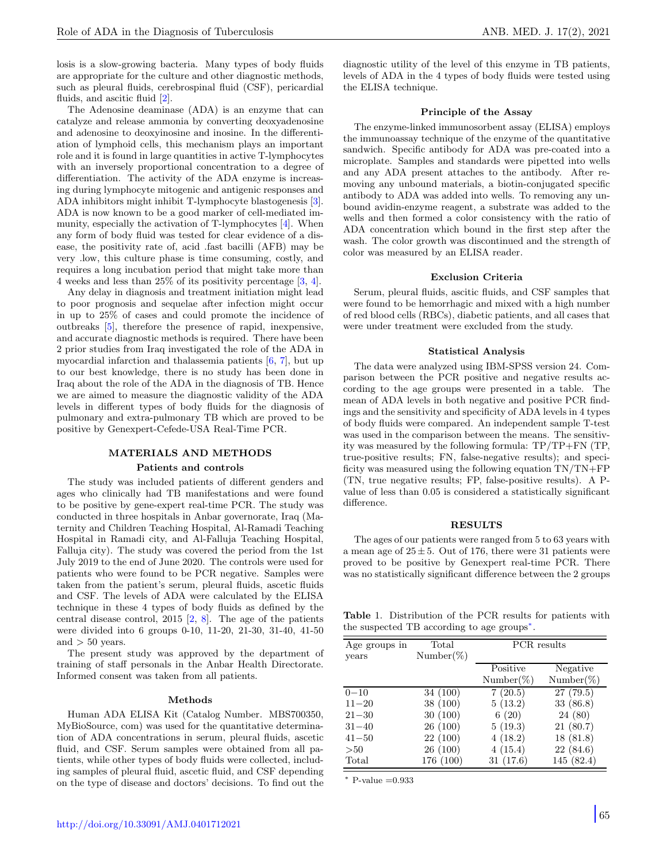losis is a slow-growing bacteria. Many types of body fluids are appropriate for the culture and other diagnostic methods, such as pleural fluids, cerebrospinal fluid (CSF), pericardial fluids, and ascitic fluid [\[2\]](#page-3-1).

The Adenosine deaminase (ADA) is an enzyme that can catalyze and release ammonia by converting deoxyadenosine and adenosine to deoxyinosine and inosine. In the differentiation of lymphoid cells, this mechanism plays an important role and it is found in large quantities in active T-lymphocytes with an inversely proportional concentration to a degree of differentiation. The activity of the ADA enzyme is increasing during lymphocyte mitogenic and antigenic responses and ADA inhibitors might inhibit T-lymphocyte blastogenesis [\[3\]](#page-3-2). ADA is now known to be a good marker of cell-mediated immunity, especially the activation of T-lymphocytes [\[4\]](#page-3-3). When any form of body fluid was tested for clear evidence of a disease, the positivity rate of, acid .fast bacilli (AFB) may be very .low, this culture phase is time consuming, costly, and requires a long incubation period that might take more than 4 weeks and less than 25% of its positivity percentage [\[3,](#page-3-2) [4\]](#page-3-3).

Any delay in diagnosis and treatment initiation might lead to poor prognosis and sequelae after infection might occur in up to 25% of cases and could promote the incidence of outbreaks [\[5\]](#page-3-4), therefore the presence of rapid, inexpensive, and accurate diagnostic methods is required. There have been 2 prior studies from Iraq investigated the role of the ADA in myocardial infarction and thalassemia patients [\[6,](#page-3-5) [7\]](#page-3-6), but up to our best knowledge, there is no study has been done in Iraq about the role of the ADA in the diagnosis of TB. Hence we are aimed to measure the diagnostic validity of the ADA levels in different types of body fluids for the diagnosis of pulmonary and extra-pulmonary TB which are proved to be positive by Genexpert-Cefede-USA Real-Time PCR.

# MATERIALS AND METHODS Patients and controls

The study was included patients of different genders and ages who clinically had TB manifestations and were found to be positive by gene-expert real-time PCR. The study was conducted in three hospitals in Anbar governorate, Iraq (Maternity and Children Teaching Hospital, Al-Ramadi Teaching Hospital in Ramadi city, and Al-Falluja Teaching Hospital, Falluja city). The study was covered the period from the 1st July 2019 to the end of June 2020. The controls were used for patients who were found to be PCR negative. Samples were taken from the patient's serum, pleural fluids, ascetic fluids and CSF. The levels of ADA were calculated by the ELISA technique in these 4 types of body fluids as defined by the central disease control,  $2015$  [\[2,](#page-3-1) [8\]](#page-3-7). The age of the patients were divided into 6 groups 0-10, 11-20, 21-30, 31-40, 41-50 and  $> 50$  years.

The present study was approved by the department of training of staff personals in the Anbar Health Directorate. Informed consent was taken from all patients.

#### Methods

Human ADA ELISA Kit (Catalog Number. MBS700350, MyBioSource, com) was used for the quantitative determination of ADA concentrations in serum, pleural fluids, ascetic fluid, and CSF. Serum samples were obtained from all patients, while other types of body fluids were collected, including samples of pleural fluid, ascetic fluid, and CSF depending on the type of disease and doctors' decisions. To find out the diagnostic utility of the level of this enzyme in TB patients, levels of ADA in the 4 types of body fluids were tested using the ELISA technique.

# Principle of the Assay

The enzyme-linked immunosorbent assay (ELISA) employs the immunoassay technique of the enzyme of the quantitative sandwich. Specific antibody for ADA was pre-coated into a microplate. Samples and standards were pipetted into wells and any ADA present attaches to the antibody. After removing any unbound materials, a biotin-conjugated specific antibody to ADA was added into wells. To removing any unbound avidin-enzyme reagent, a substrate was added to the wells and then formed a color consistency with the ratio of ADA concentration which bound in the first step after the wash. The color growth was discontinued and the strength of color was measured by an ELISA reader.

#### Exclusion Criteria

Serum, pleural fluids, ascitic fluids, and CSF samples that were found to be hemorrhagic and mixed with a high number of red blood cells (RBCs), diabetic patients, and all cases that were under treatment were excluded from the study.

#### Statistical Analysis

The data were analyzed using IBM-SPSS version 24. Comparison between the PCR positive and negative results according to the age groups were presented in a table. The mean of ADA levels in both negative and positive PCR findings and the sensitivity and specificity of ADA levels in 4 types of body fluids were compared. An independent sample T-test was used in the comparison between the means. The sensitivity was measured by the following formula: TP/TP+FN (TP, true-positive results; FN, false-negative results); and specificity was measured using the following equation TN/TN+FP (TN, true negative results; FP, false-positive results). A Pvalue of less than 0.05 is considered a statistically significant difference.

#### RESULTS

The ages of our patients were ranged from 5 to 63 years with a mean age of  $25 \pm 5$ . Out of 176, there were 31 patients were proved to be positive by Genexpert real-time PCR. There was no statistically significant difference between the 2 groups

<span id="page-1-0"></span>Table 1. Distribution of the PCR results for patients with the suspected TB according to age groups[∗](#page-0-1) .

| Age groups in | Total        | <b>PCR</b> results |              |
|---------------|--------------|--------------------|--------------|
| years         | $Number(\%)$ |                    |              |
|               |              | Positive           | Negative     |
|               |              | $Number(\%)$       | $Number(\%)$ |
| $0 - 10$      | 34 (100)     | 7(20.5)            | 27(79.5)     |
| $11 - 20$     | 38(100)      | 5(13.2)            | 33(86.8)     |
| $21 - 30$     | 30(100)      | 6(20)              | 24(80)       |
| $31 - 40$     | 26(100)      | 5(19.3)            | 21(80.7)     |
| $41 - 50$     | 22(100)      | 4(18.2)            | 18(81.8)     |
| >50           | 26 (100)     | 4(15.4)            | 22(84.6)     |
| Total         | 176 (100)    | 31(17.6)           | 145 (82.4)   |

 $P-value = 0.933$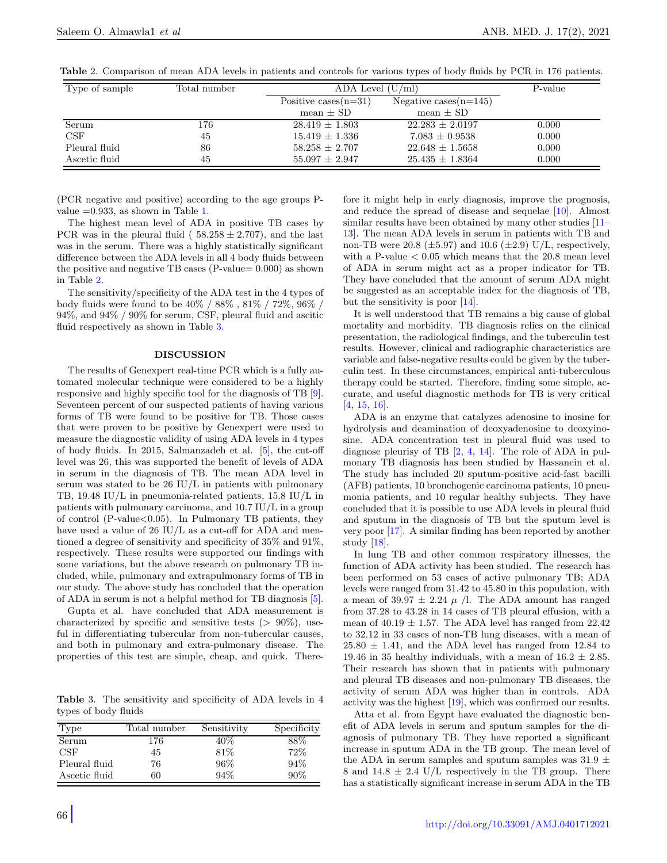| Type of sample | Total number | ADA Level $(U/ml)$      |                          | P-value |
|----------------|--------------|-------------------------|--------------------------|---------|
|                |              | Positive cases $(n=31)$ | Negative cases $(n=145)$ |         |
|                |              | mean $\pm$ SD           | mean $\pm$ SD            |         |
| Serum          | 176          | $28.419 \pm 1.803$      | $22.283 \pm 2.0197$      | 0.000   |
| CSF            | 45           | $15.419 \pm 1.336$      | $7.083 \pm 0.9538$       | 0.000   |
| Pleural fluid  | 86           | $58.258 + 2.707$        | $22.648 + 1.5658$        | 0.000   |
| Ascetic fluid  | 45           | $55.097 \pm 2.947$      | $25.435 \pm 1.8364$      | 0.000   |

<span id="page-2-0"></span>Table 2. Comparison of mean ADA levels in patients and controls for various types of body fluids by PCR in 176 patients.

(PCR negative and positive) according to the age groups Pvalue  $=0.933$ , as shown in Table [1.](#page-1-0)

The highest mean level of ADA in positive TB cases by PCR was in the pleural fluid (  $58.258 \pm 2.707$ ), and the last was in the serum. There was a highly statistically significant difference between the ADA levels in all 4 body fluids between the positive and negative TB cases (P-value= 0.000) as shown in Table [2.](#page-2-0)

The sensitivity/specificity of the ADA test in the 4 types of body fluids were found to be 40% / 88% , 81% / 72%, 96% / 94%, and 94% / 90% for serum, CSF, pleural fluid and ascitic fluid respectively as shown in Table [3.](#page-2-1)

#### DISCUSSION

The results of Genexpert real-time PCR which is a fully automated molecular technique were considered to be a highly responsive and highly specific tool for the diagnosis of TB [\[9\]](#page-3-8). Seventeen percent of our suspected patients of having various forms of TB were found to be positive for TB. Those cases that were proven to be positive by Genexpert were used to measure the diagnostic validity of using ADA levels in 4 types of body fluids. In 2015, Salmanzadeh et al. [\[5\]](#page-3-4), the cut-off level was 26, this was supported the benefit of levels of ADA in serum in the diagnosis of TB. The mean ADA level in serum was stated to be 26 IU/L in patients with pulmonary TB, 19.48 IU/L in pneumonia-related patients, 15.8 IU/L in patients with pulmonary carcinoma, and 10.7 IU/L in a group of control (P-value<0.05). In Pulmonary TB patients, they have used a value of 26 IU/L as a cut-off for ADA and mentioned a degree of sensitivity and specificity of 35% and 91%, respectively. These results were supported our findings with some variations, but the above research on pulmonary TB included, while, pulmonary and extrapulmonary forms of TB in our study. The above study has concluded that the operation of ADA in serum is not a helpful method for TB diagnosis [\[5\]](#page-3-4).

Gupta et al. have concluded that ADA measurement is characterized by specific and sensitive tests  $(> 90\%)$ , useful in differentiating tubercular from non-tubercular causes, and both in pulmonary and extra-pulmonary disease. The properties of this test are simple, cheap, and quick. There-

<span id="page-2-1"></span>Table 3. The sensitivity and specificity of ADA levels in 4 types of body fluids

| Type          | Total number | Sensitivity | Specificity |
|---------------|--------------|-------------|-------------|
| Serum         | 176          | $40\%$      | 88\%        |
| <b>CSF</b>    | 45           | 81\%        | 72%         |
| Pleural fluid | 76           | 96%         | 94%         |
| Ascetic fluid | 60           | 94%         | 90%         |

fore it might help in early diagnosis, improve the prognosis, and reduce the spread of disease and sequelae [\[10\]](#page-3-9). Almost similar results have been obtained by many other studies  $[11]$ [13\]](#page-3-11). The mean ADA levels in serum in patients with TB and non-TB were 20.8 ( $\pm$ 5.97) and 10.6 ( $\pm$ 2.9) U/L, respectively, with a P-value  $< 0.05$  which means that the 20.8 mean level of ADA in serum might act as a proper indicator for TB. They have concluded that the amount of serum ADA might be suggested as an acceptable index for the diagnosis of TB, but the sensitivity is poor [\[14\]](#page-3-12).

It is well understood that TB remains a big cause of global mortality and morbidity. TB diagnosis relies on the clinical presentation, the radiological findings, and the tuberculin test results. However, clinical and radiographic characteristics are variable and false-negative results could be given by the tuberculin test. In these circumstances, empirical anti-tuberculous therapy could be started. Therefore, finding some simple, accurate, and useful diagnostic methods for TB is very critical [\[4,](#page-3-3) [15,](#page-3-13) [16\]](#page-3-14).

ADA is an enzyme that catalyzes adenosine to inosine for hydrolysis and deamination of deoxyadenosine to deoxyinosine. ADA concentration test in pleural fluid was used to diagnose pleurisy of TB [\[2,](#page-3-1) [4,](#page-3-3) [14\]](#page-3-12). The role of ADA in pulmonary TB diagnosis has been studied by Hassanein et al. The study has included 20 sputum-positive acid-fast bacilli (AFB) patients, 10 bronchogenic carcinoma patients, 10 pneumonia patients, and 10 regular healthy subjects. They have concluded that it is possible to use ADA levels in pleural fluid and sputum in the diagnosis of TB but the sputum level is very poor [\[17\]](#page-3-15). A similar finding has been reported by another study [\[18\]](#page-3-16).

In lung TB and other common respiratory illnesses, the function of ADA activity has been studied. The research has been performed on 53 cases of active pulmonary TB; ADA levels were ranged from 31.42 to 45.80 in this population, with a mean of 39.97  $\pm$  2.24  $\mu$  /l. The ADA amount has ranged from 37.28 to 43.28 in 14 cases of TB pleural effusion, with a mean of  $40.19 \pm 1.57$ . The ADA level has ranged from 22.42 to 32.12 in 33 cases of non-TB lung diseases, with a mean of  $25.80 \pm 1.41$ , and the ADA level has ranged from 12.84 to 19.46 in 35 healthy individuals, with a mean of  $16.2 \pm 2.85$ . Their research has shown that in patients with pulmonary and pleural TB diseases and non-pulmonary TB diseases, the activity of serum ADA was higher than in controls. ADA activity was the highest [\[19\]](#page-3-17), which was confirmed our results.

Atta et al. from Egypt have evaluated the diagnostic benefit of ADA levels in serum and sputum samples for the diagnosis of pulmonary TB. They have reported a significant increase in sputum ADA in the TB group. The mean level of the ADA in serum samples and sputum samples was 31.9  $\pm$ 8 and  $14.8 \pm 2.4$  U/L respectively in the TB group. There has a statistically significant increase in serum ADA in the TB